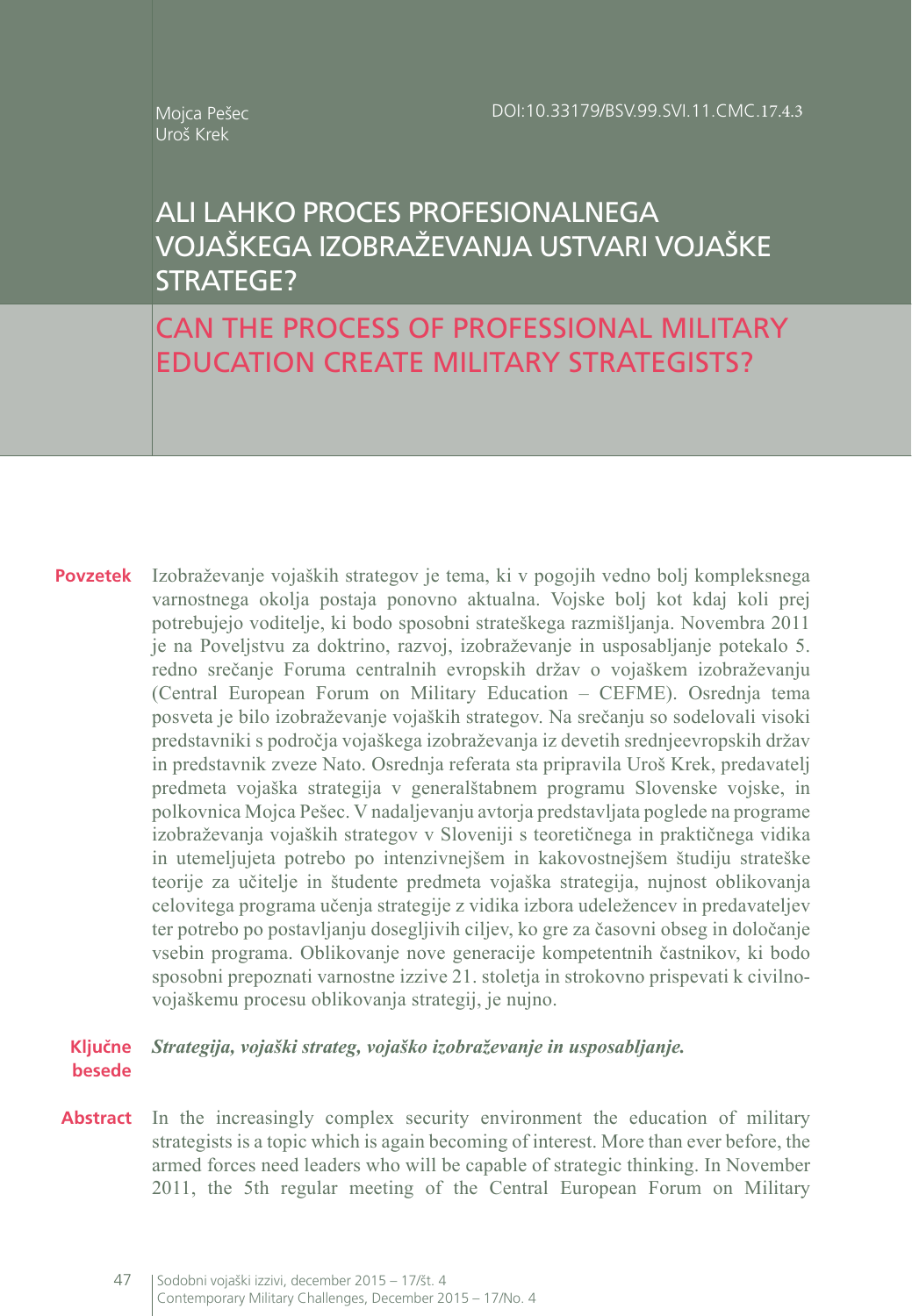#### Mojca Pešec Uroš Krek

# ALI LAHKO PROCES PROFESIONALNEGA VOJAŠKEGA IZOBRAŽEVANJA USTVARI VOJAŠKE STRATEGE?

CAN THE PROCESS OF PROFESSIONAL MILITARY EDUCATION CREATE MILITARY STRATEGISTS?

**Povzetek** Izobraževanje vojaških strategov je tema, ki v pogojih vedno bolj kompleksnega varnostnega okolja postaja ponovno aktualna. Vojske bolj kot kdaj koli prej potrebujejo voditelje, ki bodo sposobni strateškega razmišljanja. Novembra 2011 je na Poveljstvu za doktrino, razvoj, izobraževanje in usposabljanje potekalo 5. redno srečanje Foruma centralnih evropskih držav o vojaškem izobraževanju (Central European Forum on Military Education – CEFME). Osrednja tema posveta je bilo izobraževanje vojaških strategov. Na srečanju so sodelovali visoki predstavniki s področja vojaškega izobraževanja iz devetih srednjeevropskih držav in predstavnik zveze Nato. Osrednja referata sta pripravila Uroš Krek, predavatelj predmeta vojaška strategija v generalštabnem programu Slovenske vojske, in polkovnica Mojca Pešec. V nadaljevanju avtorja predstavljata poglede na programe izobraževanja vojaških strategov v Sloveniji s teoretičnega in praktičnega vidika in utemeljujeta potrebo po intenzivnejšem in kakovostnejšem študiju strateške teorije za učitelje in študente predmeta vojaška strategija, nujnost oblikovanja celovitega programa učenja strategije z vidika izbora udeležencev in predavateljev ter potrebo po postavljanju dosegljivih ciljev, ko gre za časovni obseg in določanje vsebin programa. Oblikovanje nove generacije kompetentnih častnikov, ki bodo sposobni prepoznati varnostne izzive 21. stoletja in strokovno prispevati k civilnovojaškemu procesu oblikovanja strategij, je nujno.

#### **Ključne besede** *Strategija, vojaški strateg, vojaško izobraževanje in usposabljanje.*

**Abstract** In the increasingly complex security environment the education of military strategists is a topic which is again becoming of interest. More than ever before, the armed forces need leaders who will be capable of strategic thinking. In November 2011, the 5th regular meeting of the Central European Forum on Military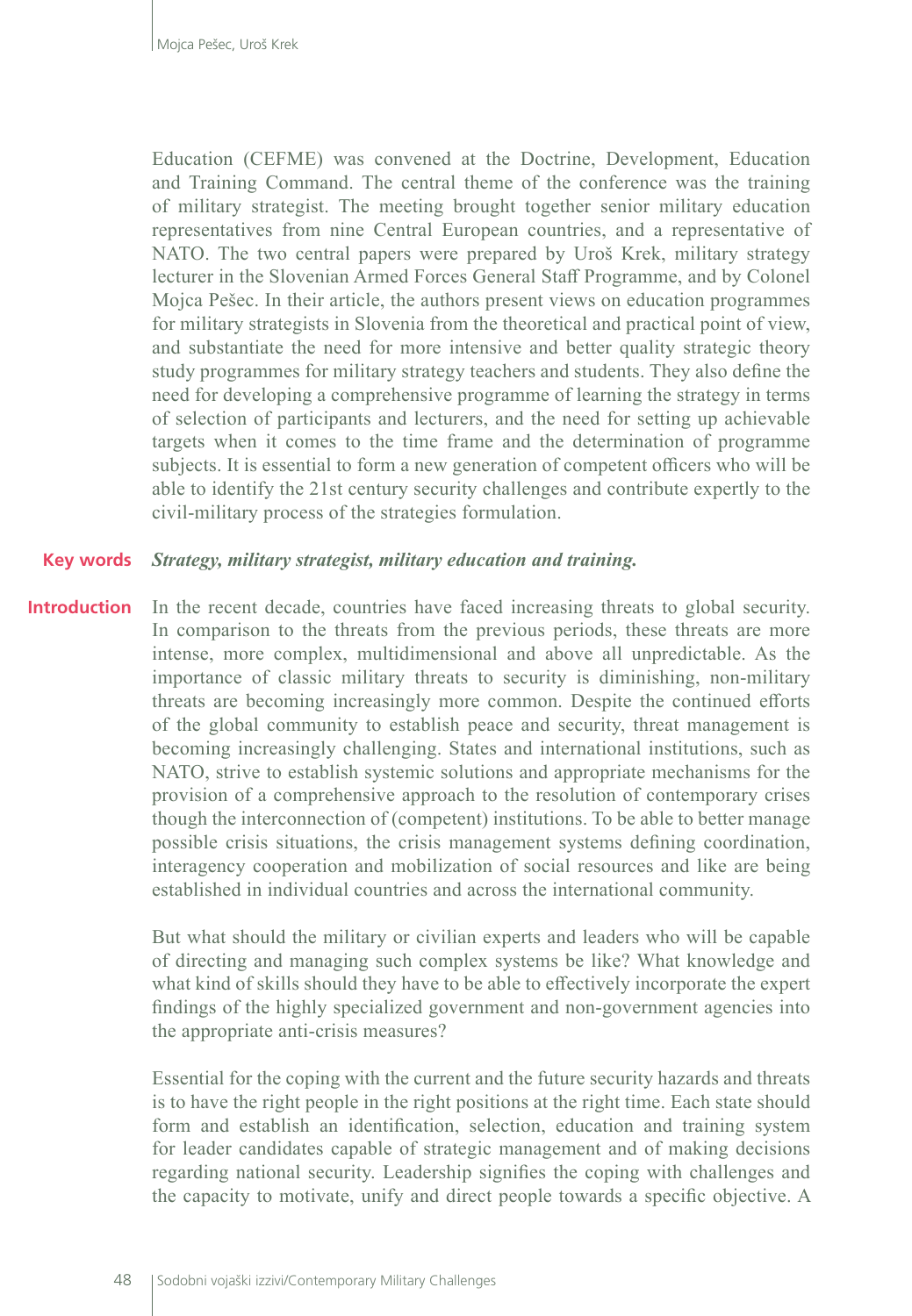Education (CEFME) was convened at the Doctrine, Development, Education and Training Command. The central theme of the conference was the training of military strategist. The meeting brought together senior military education representatives from nine Central European countries, and a representative of NATO. The two central papers were prepared by Uroš Krek, military strategy lecturer in the Slovenian Armed Forces General Staff Programme, and by Colonel Mojca Pešec. In their article, the authors present views on education programmes for military strategists in Slovenia from the theoretical and practical point of view, and substantiate the need for more intensive and better quality strategic theory study programmes for military strategy teachers and students. They also define the need for developing a comprehensive programme of learning the strategy in terms of selection of participants and lecturers, and the need for setting up achievable targets when it comes to the time frame and the determination of programme subjects. It is essential to form a new generation of competent officers who will be able to identify the 21st century security challenges and contribute expertly to the civil-military process of the strategies formulation.

#### *Strategy, military strategist, military education and training.* **Key words**

In the recent decade, countries have faced increasing threats to global security. In comparison to the threats from the previous periods, these threats are more intense, more complex, multidimensional and above all unpredictable. As the importance of classic military threats to security is diminishing, non-military threats are becoming increasingly more common. Despite the continued efforts of the global community to establish peace and security, threat management is becoming increasingly challenging. States and international institutions, such as NATO, strive to establish systemic solutions and appropriate mechanisms for the provision of a comprehensive approach to the resolution of contemporary crises though the interconnection of (competent) institutions. To be able to better manage possible crisis situations, the crisis management systems defining coordination, interagency cooperation and mobilization of social resources and like are being established in individual countries and across the international community. **Introduction**

> But what should the military or civilian experts and leaders who will be capable of directing and managing such complex systems be like? What knowledge and what kind of skills should they have to be able to effectively incorporate the expert findings of the highly specialized government and non-government agencies into the appropriate anti-crisis measures?

> Essential for the coping with the current and the future security hazards and threats is to have the right people in the right positions at the right time. Each state should form and establish an identification, selection, education and training system for leader candidates capable of strategic management and of making decisions regarding national security. Leadership signifies the coping with challenges and the capacity to motivate, unify and direct people towards a specific objective. A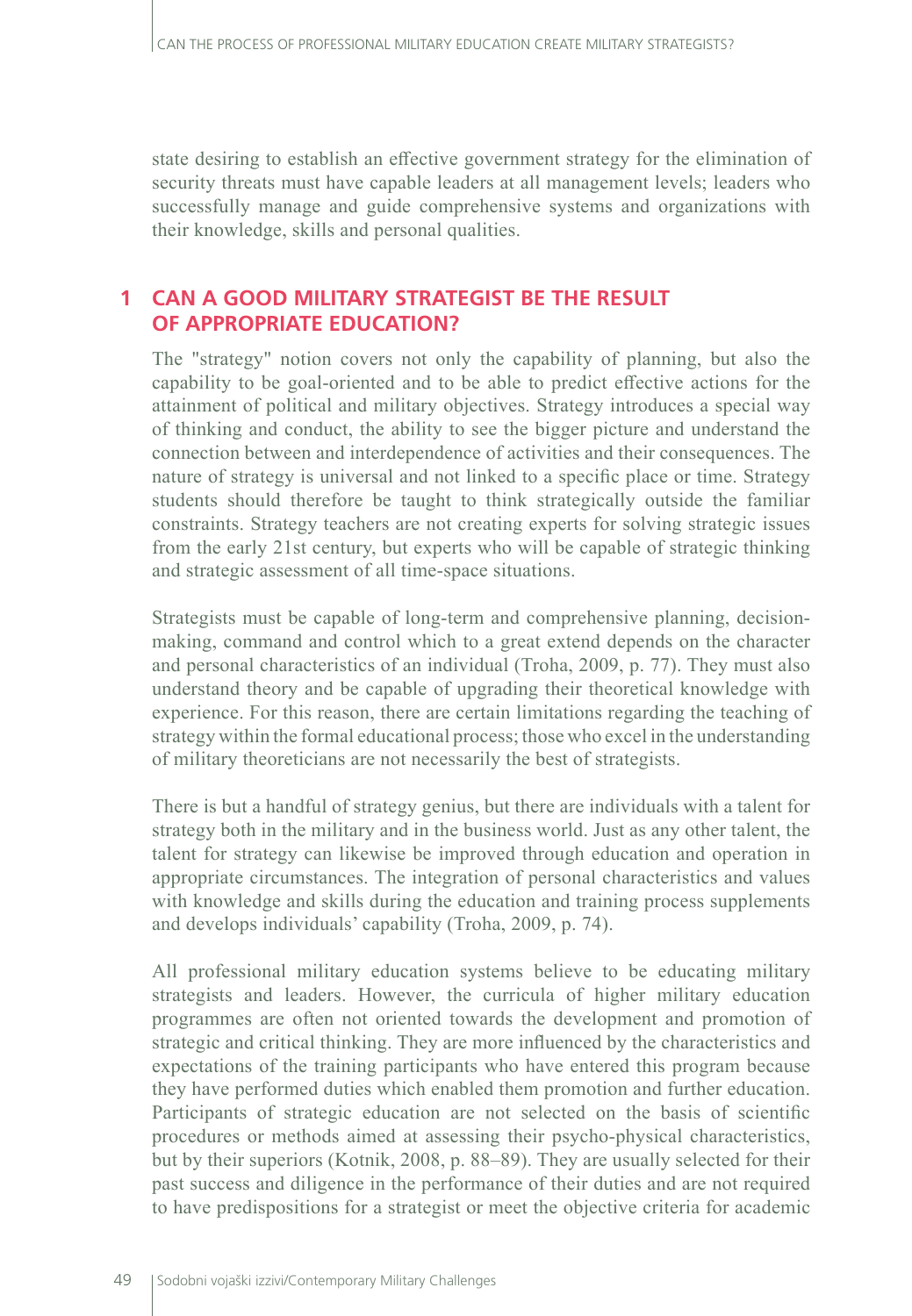state desiring to establish an effective government strategy for the elimination of security threats must have capable leaders at all management levels; leaders who successfully manage and guide comprehensive systems and organizations with their knowledge, skills and personal qualities.

### **1 CAN A GOOD MILITARY STRATEGIST BE THE RESULT OF APPROPRIATE EDUCATION?**

The "strategy" notion covers not only the capability of planning, but also the capability to be goal-oriented and to be able to predict effective actions for the attainment of political and military objectives. Strategy introduces a special way of thinking and conduct, the ability to see the bigger picture and understand the connection between and interdependence of activities and their consequences. The nature of strategy is universal and not linked to a specific place or time. Strategy students should therefore be taught to think strategically outside the familiar constraints. Strategy teachers are not creating experts for solving strategic issues from the early 21st century, but experts who will be capable of strategic thinking and strategic assessment of all time-space situations.

Strategists must be capable of long-term and comprehensive planning, decisionmaking, command and control which to a great extend depends on the character and personal characteristics of an individual (Troha, 2009, p. 77). They must also understand theory and be capable of upgrading their theoretical knowledge with experience. For this reason, there are certain limitations regarding the teaching of strategy within the formal educational process; those who excel in the understanding of military theoreticians are not necessarily the best of strategists.

There is but a handful of strategy genius, but there are individuals with a talent for strategy both in the military and in the business world. Just as any other talent, the talent for strategy can likewise be improved through education and operation in appropriate circumstances. The integration of personal characteristics and values with knowledge and skills during the education and training process supplements and develops individuals' capability (Troha, 2009, p. 74).

All professional military education systems believe to be educating military strategists and leaders. However, the curricula of higher military education programmes are often not oriented towards the development and promotion of strategic and critical thinking. They are more influenced by the characteristics and expectations of the training participants who have entered this program because they have performed duties which enabled them promotion and further education. Participants of strategic education are not selected on the basis of scientific procedures or methods aimed at assessing their psycho-physical characteristics, but by their superiors (Kotnik, 2008, p. 88–89). They are usually selected for their past success and diligence in the performance of their duties and are not required to have predispositions for a strategist or meet the objective criteria for academic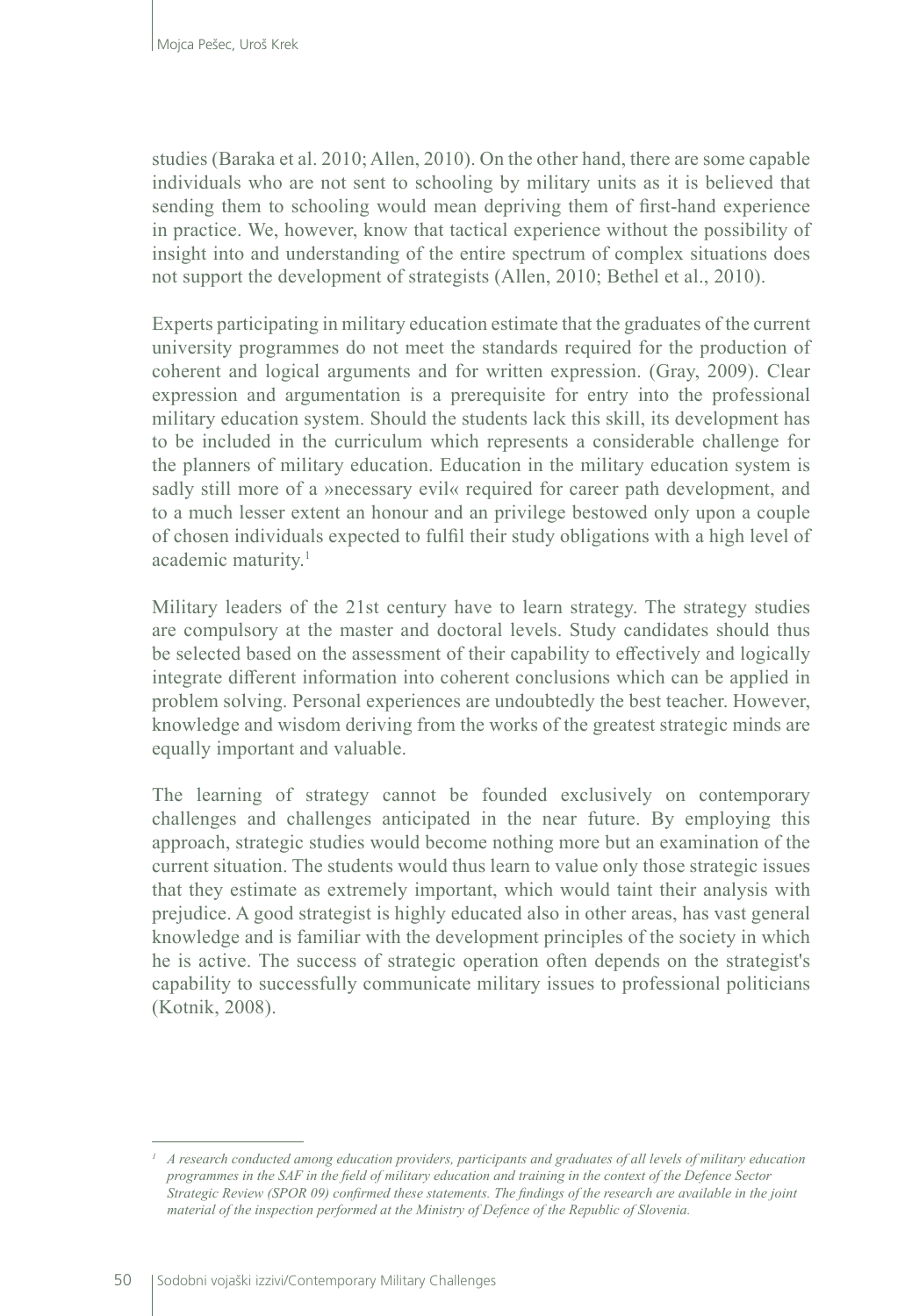studies (Baraka et al. 2010; Allen, 2010). On the other hand, there are some capable individuals who are not sent to schooling by military units as it is believed that sending them to schooling would mean depriving them of first-hand experience in practice. We, however, know that tactical experience without the possibility of insight into and understanding of the entire spectrum of complex situations does not support the development of strategists (Allen, 2010; Bethel et al., 2010).

Experts participating in military education estimate that the graduates of the current university programmes do not meet the standards required for the production of coherent and logical arguments and for written expression. (Gray, 2009). Clear expression and argumentation is a prerequisite for entry into the professional military education system. Should the students lack this skill, its development has to be included in the curriculum which represents a considerable challenge for the planners of military education. Education in the military education system is sadly still more of a »necessary evil« required for career path development, and to a much lesser extent an honour and an privilege bestowed only upon a couple of chosen individuals expected to fulfil their study obligations with a high level of academic maturity.<sup>1</sup>

Military leaders of the 21st century have to learn strategy. The strategy studies are compulsory at the master and doctoral levels. Study candidates should thus be selected based on the assessment of their capability to effectively and logically integrate different information into coherent conclusions which can be applied in problem solving. Personal experiences are undoubtedly the best teacher. However, knowledge and wisdom deriving from the works of the greatest strategic minds are equally important and valuable.

The learning of strategy cannot be founded exclusively on contemporary challenges and challenges anticipated in the near future. By employing this approach, strategic studies would become nothing more but an examination of the current situation. The students would thus learn to value only those strategic issues that they estimate as extremely important, which would taint their analysis with prejudice. A good strategist is highly educated also in other areas, has vast general knowledge and is familiar with the development principles of the society in which he is active. The success of strategic operation often depends on the strategist's capability to successfully communicate military issues to professional politicians (Kotnik, 2008).

*<sup>1</sup> A research conducted among education providers, participants and graduates of all levels of military education programmes in the SAF in the field of military education and training in the context of the Defence Sector Strategic Review (SPOR 09) confirmed these statements. The findings of the research are available in the joint material of the inspection performed at the Ministry of Defence of the Republic of Slovenia.*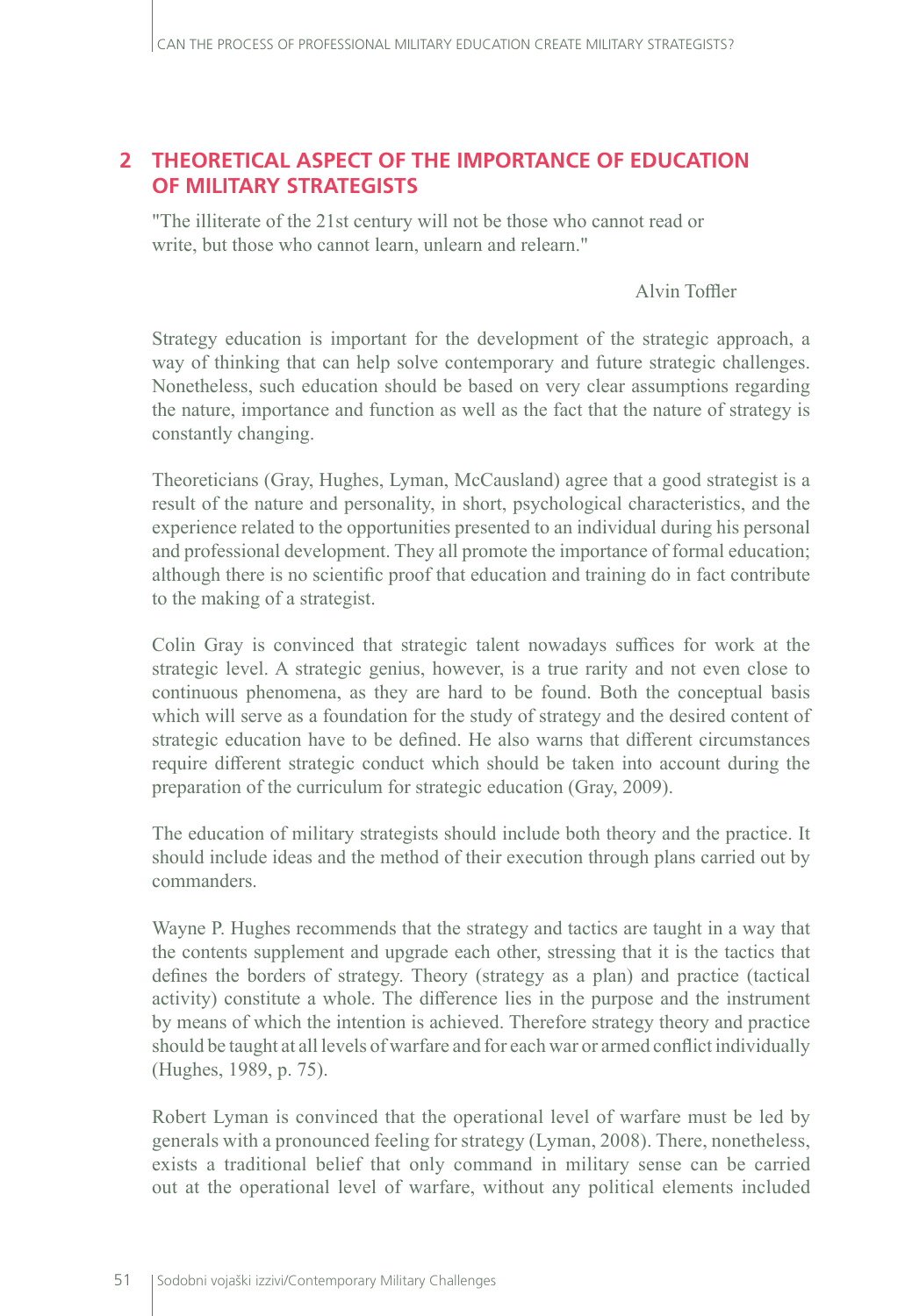### **2 THEORETICAL ASPECT OF THE IMPORTANCE OF EDUCATION OF MILITARY STRATEGISTS**

"The illiterate of the 21st century will not be those who cannot read or write, but those who cannot learn, unlearn and relearn."

Alvin Toffler

Strategy education is important for the development of the strategic approach, a way of thinking that can help solve contemporary and future strategic challenges. Nonetheless, such education should be based on very clear assumptions regarding the nature, importance and function as well as the fact that the nature of strategy is constantly changing.

Theoreticians (Gray, Hughes, Lyman, McCausland) agree that a good strategist is a result of the nature and personality, in short, psychological characteristics, and the experience related to the opportunities presented to an individual during his personal and professional development. They all promote the importance of formal education; although there is no scientific proof that education and training do in fact contribute to the making of a strategist.

Colin Gray is convinced that strategic talent nowadays suffices for work at the strategic level. A strategic genius, however, is a true rarity and not even close to continuous phenomena, as they are hard to be found. Both the conceptual basis which will serve as a foundation for the study of strategy and the desired content of strategic education have to be defined. He also warns that different circumstances require different strategic conduct which should be taken into account during the preparation of the curriculum for strategic education (Gray, 2009).

The education of military strategists should include both theory and the practice. It should include ideas and the method of their execution through plans carried out by commanders.

Wayne P. Hughes recommends that the strategy and tactics are taught in a way that the contents supplement and upgrade each other, stressing that it is the tactics that defines the borders of strategy. Theory (strategy as a plan) and practice (tactical activity) constitute a whole. The difference lies in the purpose and the instrument by means of which the intention is achieved. Therefore strategy theory and practice should be taught at all levels of warfare and for each war or armed conflict individually (Hughes, 1989, p. 75).

Robert Lyman is convinced that the operational level of warfare must be led by generals with a pronounced feeling for strategy (Lyman, 2008). There, nonetheless, exists a traditional belief that only command in military sense can be carried out at the operational level of warfare, without any political elements included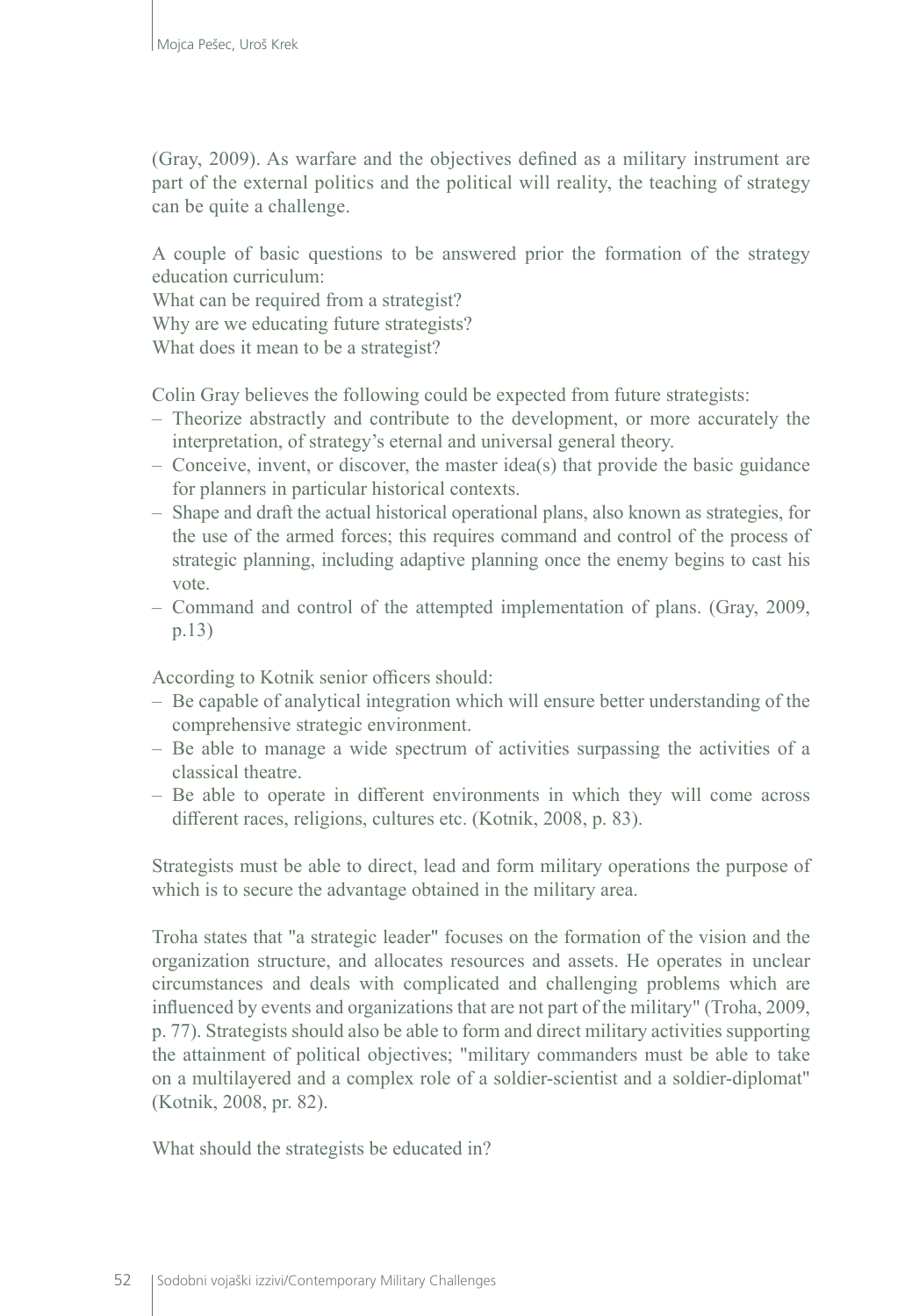(Gray, 2009). As warfare and the objectives defined as a military instrument are part of the external politics and the political will reality, the teaching of strategy can be quite a challenge.

A couple of basic questions to be answered prior the formation of the strategy education curriculum:

What can be required from a strategist?

Why are we educating future strategists?

What does it mean to be a strategist?

Colin Gray believes the following could be expected from future strategists:

- Theorize abstractly and contribute to the development, or more accurately the interpretation, of strategy's eternal and universal general theory.
- $\sim$  Conceive, invent, or discover, the master idea(s) that provide the basic guidance for planners in particular historical contexts.
- Shape and draft the actual historical operational plans, also known as strategies, for the use of the armed forces; this requires command and control of the process of strategic planning, including adaptive planning once the enemy begins to cast his vote.
- Command and control of the attempted implementation of plans. (Gray, 2009, p.13)

According to Kotnik senior officers should:

- Be capable of analytical integration which will ensure better understanding of the comprehensive strategic environment.
- Be able to manage a wide spectrum of activities surpassing the activities of a classical theatre.
- Be able to operate in different environments in which they will come across different races, religions, cultures etc. (Kotnik, 2008, p. 83).

Strategists must be able to direct, lead and form military operations the purpose of which is to secure the advantage obtained in the military area.

Troha states that "a strategic leader" focuses on the formation of the vision and the organization structure, and allocates resources and assets. He operates in unclear circumstances and deals with complicated and challenging problems which are influenced by events and organizations that are not part of the military" (Troha, 2009, p. 77). Strategists should also be able to form and direct military activities supporting the attainment of political objectives; "military commanders must be able to take on a multilayered and a complex role of a soldier-scientist and a soldier-diplomat" (Kotnik, 2008, pr. 82).

What should the strategists be educated in?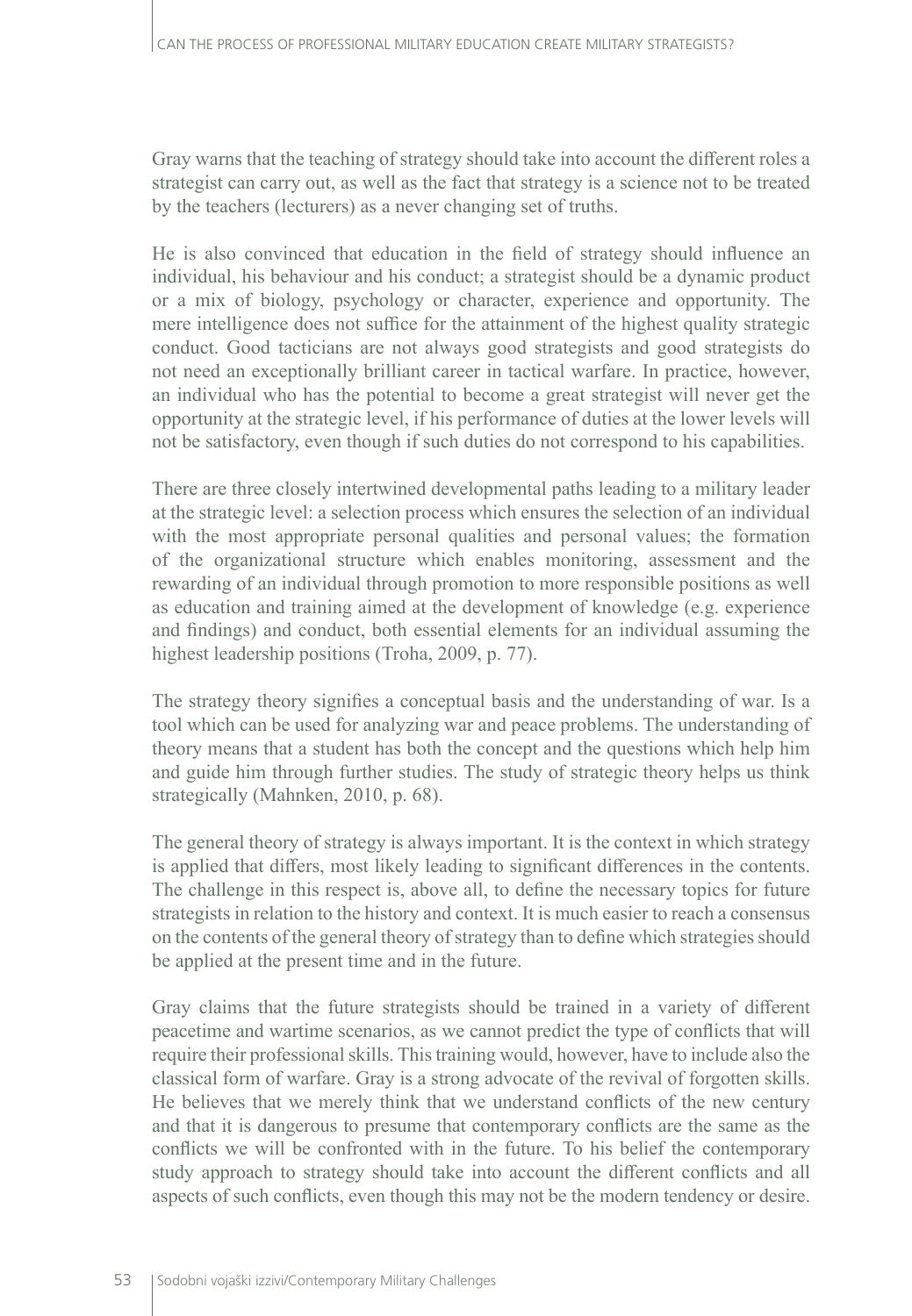Gray warns that the teaching of strategy should take into account the different roles a strategist can carry out, as well as the fact that strategy is a science not to be treated by the teachers (lecturers) as a never changing set of truths.

He is also convinced that education in the field of strategy should influence an individual, his behaviour and his conduct; a strategist should be a dynamic product or a mix of biology, psychology or character, experience and opportunity. The mere intelligence does not suffice for the attainment of the highest quality strategic conduct. Good tacticians are not always good strategists and good strategists do not need an exceptionally brilliant career in tactical warfare. In practice, however, an individual who has the potential to become a great strategist will never get the opportunity at the strategic level, if his performance of duties at the lower levels will not be satisfactory, even though if such duties do not correspond to his capabilities.

There are three closely intertwined developmental paths leading to a military leader at the strategic level: a selection process which ensures the selection of an individual with the most appropriate personal qualities and personal values; the formation of the organizational structure which enables monitoring, assessment and the rewarding of an individual through promotion to more responsible positions as well as education and training aimed at the development of knowledge (e.g. experience and findings) and conduct, both essential elements for an individual assuming the highest leadership positions (Troha, 2009, p. 77).

The strategy theory signifies a conceptual basis and the understanding of war. Is a tool which can be used for analyzing war and peace problems. The understanding of theory means that a student has both the concept and the questions which help him and guide him through further studies. The study of strategic theory helps us think strategically (Mahnken, 2010, p. 68).

The general theory of strategy is always important. It is the context in which strategy is applied that differs, most likely leading to significant differences in the contents. The challenge in this respect is, above all, to define the necessary topics for future strategists in relation to the history and context. It is much easier to reach a consensus on the contents of the general theory of strategy than to define which strategies should be applied at the present time and in the future.

Gray claims that the future strategists should be trained in a variety of different peacetime and wartime scenarios, as we cannot predict the type of conflicts that will require their professional skills. This training would, however, have to include also the classical form of warfare. Gray is a strong advocate of the revival of forgotten skills. He believes that we merely think that we understand conflicts of the new century and that it is dangerous to presume that contemporary conflicts are the same as the conflicts we will be confronted with in the future. To his belief the contemporary study approach to strategy should take into account the different conflicts and all aspects of such conflicts, even though this may not be the modern tendency or desire.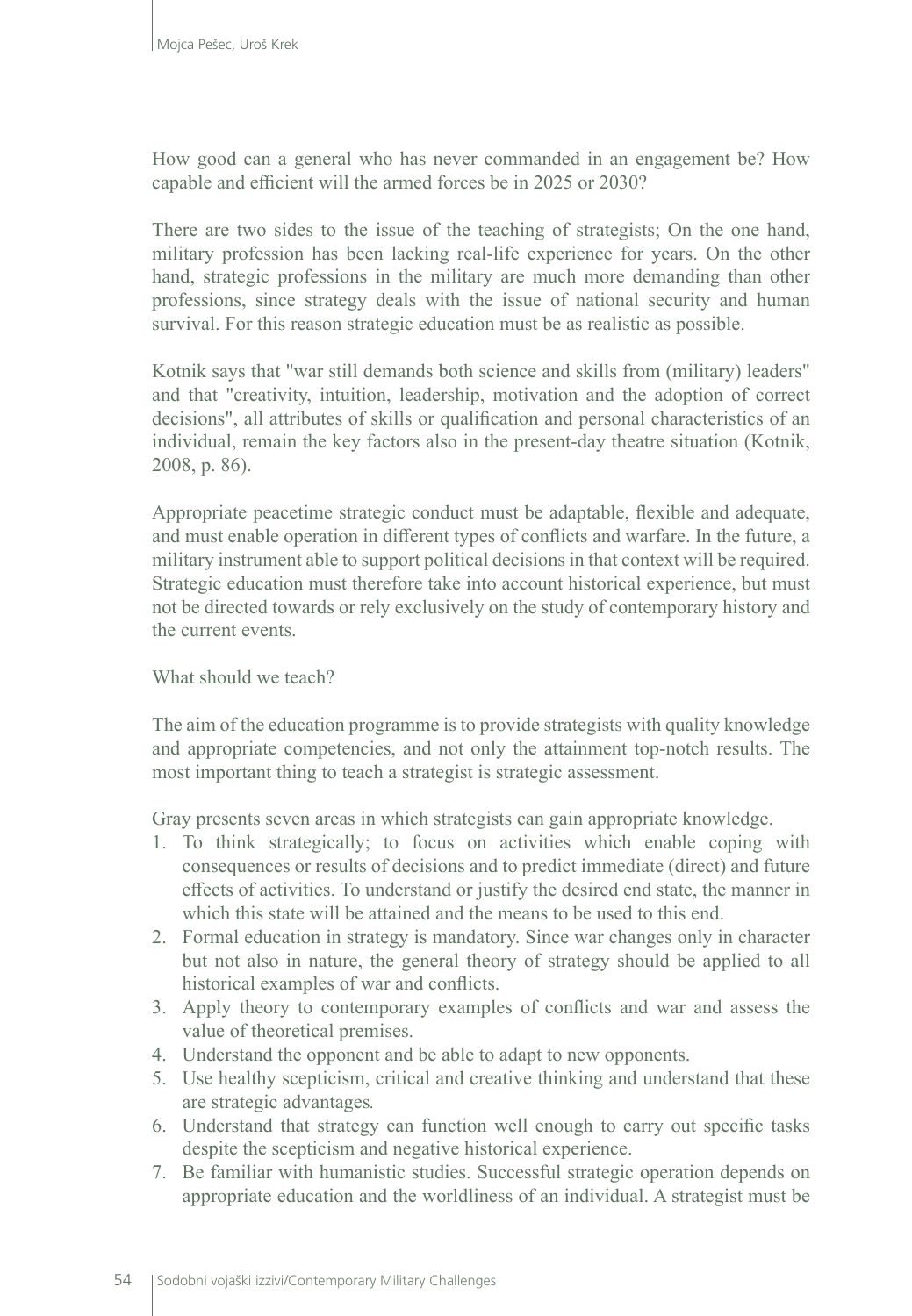How good can a general who has never commanded in an engagement be? How capable and efficient will the armed forces be in 2025 or 2030?

There are two sides to the issue of the teaching of strategists; On the one hand, military profession has been lacking real-life experience for years. On the other hand, strategic professions in the military are much more demanding than other professions, since strategy deals with the issue of national security and human survival. For this reason strategic education must be as realistic as possible.

Kotnik says that "war still demands both science and skills from (military) leaders" and that "creativity, intuition, leadership, motivation and the adoption of correct decisions", all attributes of skills or qualification and personal characteristics of an individual, remain the key factors also in the present-day theatre situation (Kotnik, 2008, p. 86).

Appropriate peacetime strategic conduct must be adaptable, flexible and adequate, and must enable operation in different types of conflicts and warfare. In the future, a military instrument able to support political decisions in that context will be required. Strategic education must therefore take into account historical experience, but must not be directed towards or rely exclusively on the study of contemporary history and the current events.

#### What should we teach?

The aim of the education programme is to provide strategists with quality knowledge and appropriate competencies, and not only the attainment top-notch results. The most important thing to teach a strategist is strategic assessment.

Gray presents seven areas in which strategists can gain appropriate knowledge.

- 1. To think strategically; to focus on activities which enable coping with consequences or results of decisions and to predict immediate (direct) and future effects of activities. To understand or justify the desired end state, the manner in which this state will be attained and the means to be used to this end.
- 2. Formal education in strategy is mandatory. Since war changes only in character but not also in nature, the general theory of strategy should be applied to all historical examples of war and conflicts.
- 3. Apply theory to contemporary examples of conflicts and war and assess the value of theoretical premises.
- 4. Understand the opponent and be able to adapt to new opponents.
- 5. Use healthy scepticism, critical and creative thinking and understand that these are strategic advantages*.*
- 6. Understand that strategy can function well enough to carry out specific tasks despite the scepticism and negative historical experience.
- 7. Be familiar with humanistic studies. Successful strategic operation depends on appropriate education and the worldliness of an individual. A strategist must be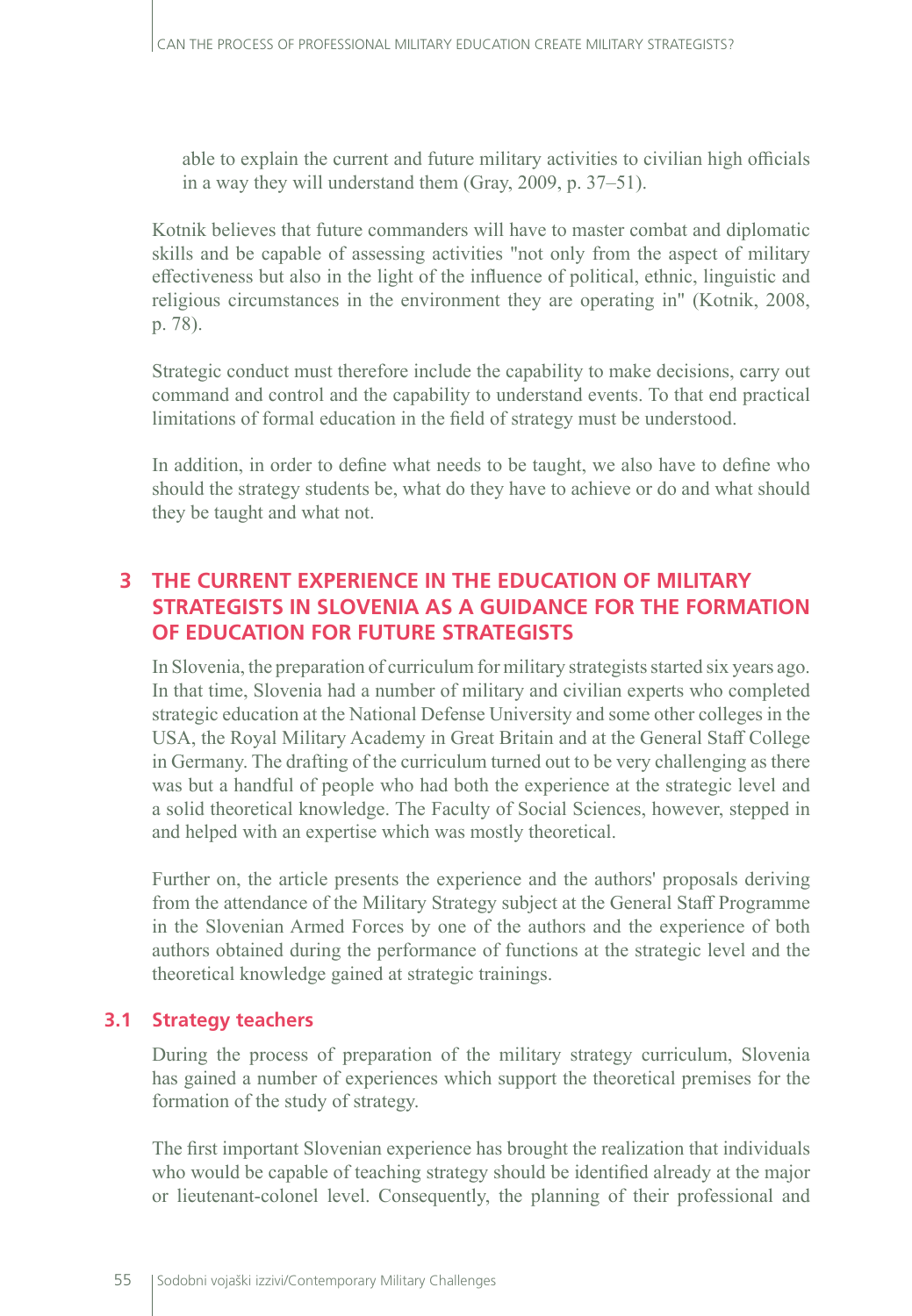able to explain the current and future military activities to civilian high officials in a way they will understand them (Gray, 2009, p. 37–51).

Kotnik believes that future commanders will have to master combat and diplomatic skills and be capable of assessing activities "not only from the aspect of military effectiveness but also in the light of the influence of political, ethnic, linguistic and religious circumstances in the environment they are operating in" (Kotnik, 2008, p. 78).

Strategic conduct must therefore include the capability to make decisions, carry out command and control and the capability to understand events. To that end practical limitations of formal education in the field of strategy must be understood.

In addition, in order to define what needs to be taught, we also have to define who should the strategy students be, what do they have to achieve or do and what should they be taught and what not.

## **3 THE CURRENT EXPERIENCE IN THE EDUCATION OF MILITARY STRATEGISTS IN SLOVENIA AS A GUIDANCE FOR THE FORMATION OF EDUCATION FOR FUTURE STRATEGISTS**

In Slovenia, the preparation of curriculum for military strategists started six years ago. In that time, Slovenia had a number of military and civilian experts who completed strategic education at the National Defense University and some other colleges in the USA, the Royal Military Academy in Great Britain and at the General Staff College in Germany. The drafting of the curriculum turned out to be very challenging as there was but a handful of people who had both the experience at the strategic level and a solid theoretical knowledge. The Faculty of Social Sciences, however, stepped in and helped with an expertise which was mostly theoretical.

Further on, the article presents the experience and the authors' proposals deriving from the attendance of the Military Strategy subject at the General Staff Programme in the Slovenian Armed Forces by one of the authors and the experience of both authors obtained during the performance of functions at the strategic level and the theoretical knowledge gained at strategic trainings.

#### **3.1 Strategy teachers**

During the process of preparation of the military strategy curriculum, Slovenia has gained a number of experiences which support the theoretical premises for the formation of the study of strategy.

The first important Slovenian experience has brought the realization that individuals who would be capable of teaching strategy should be identified already at the major or lieutenant-colonel level. Consequently, the planning of their professional and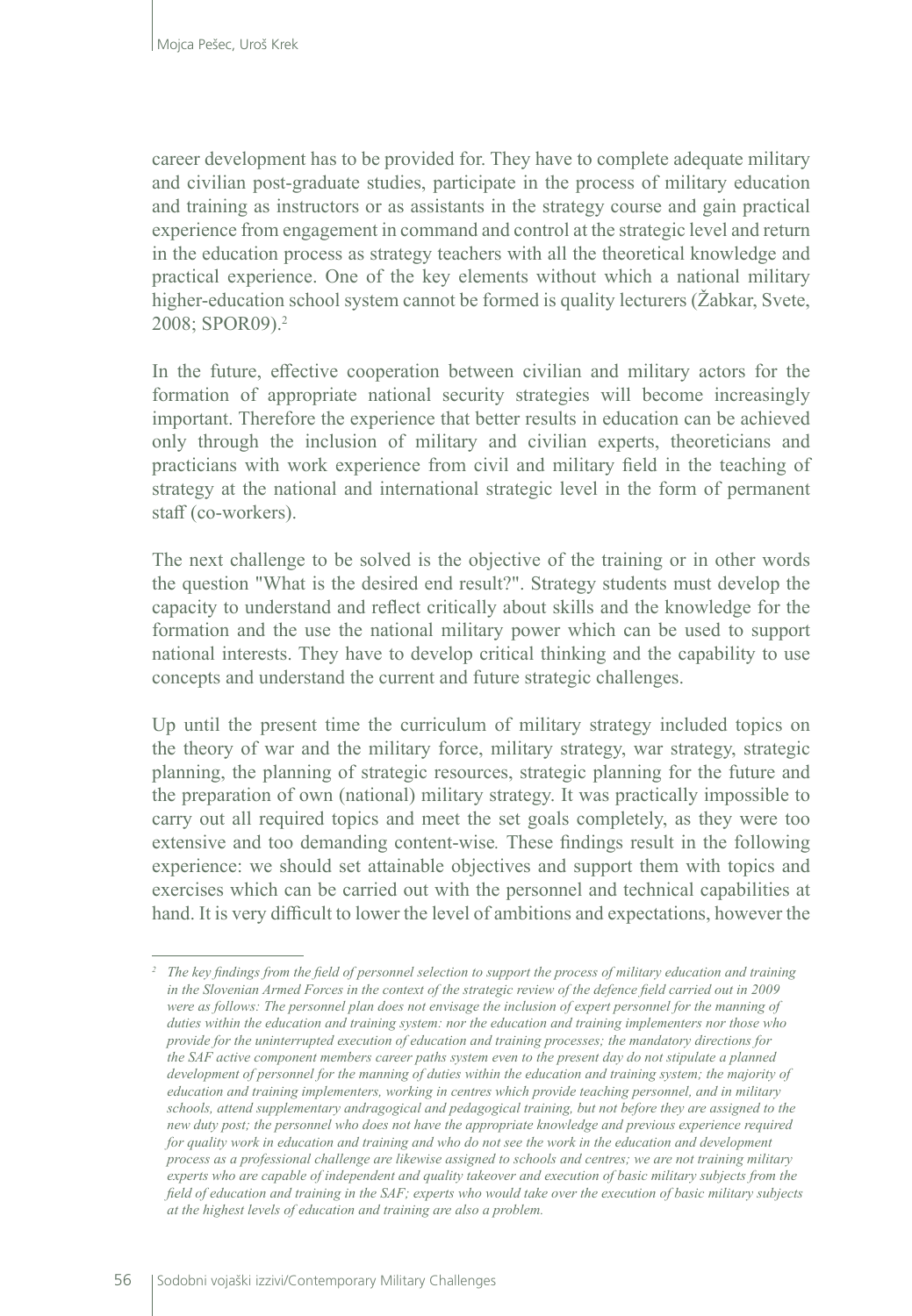career development has to be provided for. They have to complete adequate military and civilian post-graduate studies, participate in the process of military education and training as instructors or as assistants in the strategy course and gain practical experience from engagement in command and control at the strategic level and return in the education process as strategy teachers with all the theoretical knowledge and practical experience. One of the key elements without which a national military higher-education school system cannot be formed is quality lecturers (Žabkar, Svete, 2008; SPOR09).<sup>2</sup>

In the future, effective cooperation between civilian and military actors for the formation of appropriate national security strategies will become increasingly important. Therefore the experience that better results in education can be achieved only through the inclusion of military and civilian experts, theoreticians and practicians with work experience from civil and military field in the teaching of strategy at the national and international strategic level in the form of permanent staff (co-workers).

The next challenge to be solved is the objective of the training or in other words the question "What is the desired end result?". Strategy students must develop the capacity to understand and reflect critically about skills and the knowledge for the formation and the use the national military power which can be used to support national interests. They have to develop critical thinking and the capability to use concepts and understand the current and future strategic challenges.

Up until the present time the curriculum of military strategy included topics on the theory of war and the military force, military strategy, war strategy, strategic planning, the planning of strategic resources, strategic planning for the future and the preparation of own (national) military strategy. It was practically impossible to carry out all required topics and meet the set goals completely, as they were too extensive and too demanding content-wise*.* These findings result in the following experience: we should set attainable objectives and support them with topics and exercises which can be carried out with the personnel and technical capabilities at hand. It is very difficult to lower the level of ambitions and expectations, however the

*<sup>2</sup> The key findings from the field of personnel selection to support the process of military education and training in the Slovenian Armed Forces in the context of the strategic review of the defence field carried out in 2009 were as follows: The personnel plan does not envisage the inclusion of expert personnel for the manning of duties within the education and training system: nor the education and training implementers nor those who provide for the uninterrupted execution of education and training processes; the mandatory directions for the SAF active component members career paths system even to the present day do not stipulate a planned development of personnel for the manning of duties within the education and training system; the majority of education and training implementers, working in centres which provide teaching personnel, and in military schools, attend supplementary andragogical and pedagogical training, but not before they are assigned to the new duty post; the personnel who does not have the appropriate knowledge and previous experience required for quality work in education and training and who do not see the work in the education and development process as a professional challenge are likewise assigned to schools and centres; we are not training military experts who are capable of independent and quality takeover and execution of basic military subjects from the field of education and training in the SAF; experts who would take over the execution of basic military subjects at the highest levels of education and training are also a problem.*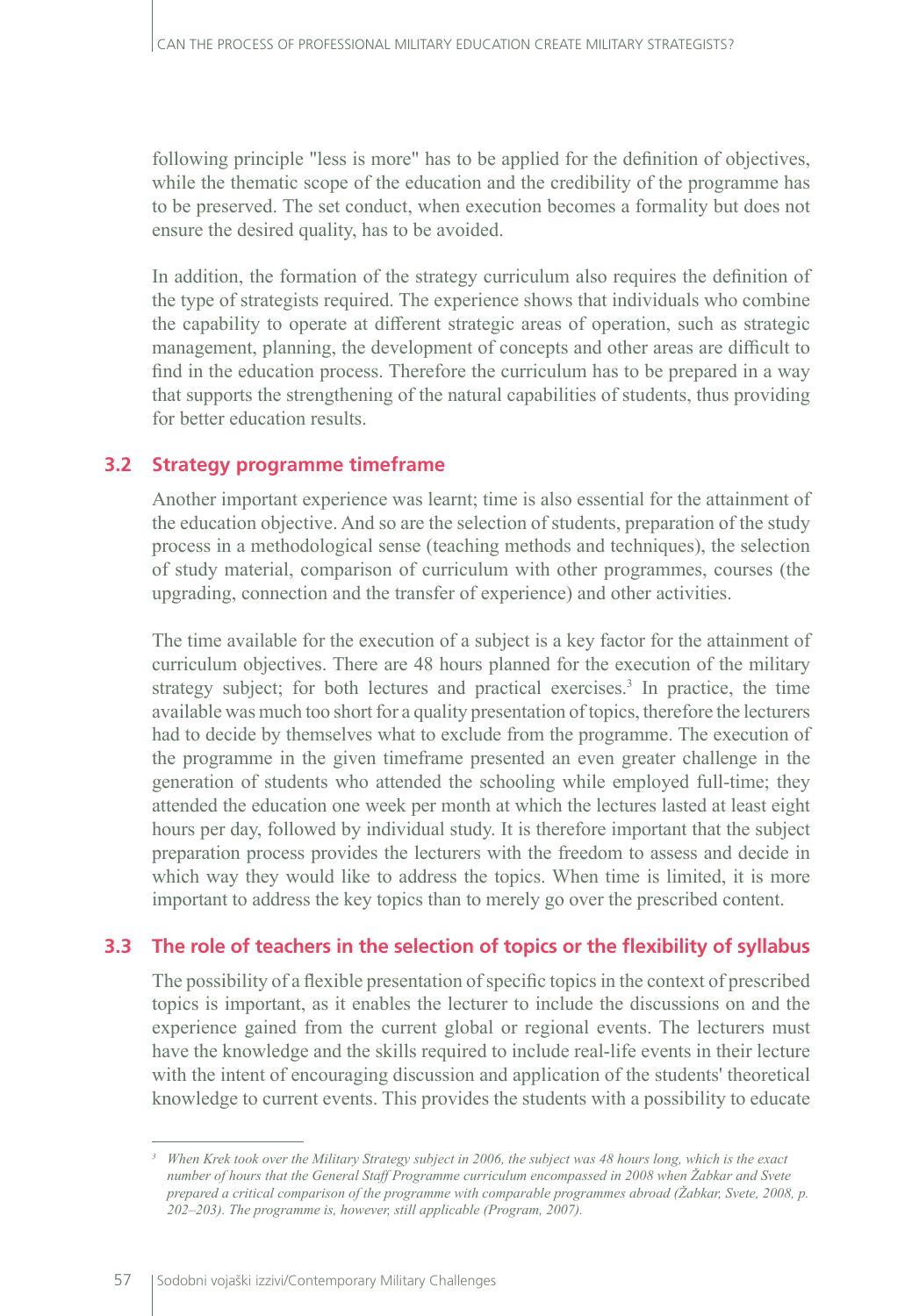following principle "less is more" has to be applied for the definition of objectives, while the thematic scope of the education and the credibility of the programme has to be preserved. The set conduct, when execution becomes a formality but does not ensure the desired quality, has to be avoided.

In addition, the formation of the strategy curriculum also requires the definition of the type of strategists required. The experience shows that individuals who combine the capability to operate at different strategic areas of operation, such as strategic management, planning, the development of concepts and other areas are difficult to find in the education process. Therefore the curriculum has to be prepared in a way that supports the strengthening of the natural capabilities of students, thus providing for better education results.

#### **3.2 Strategy programme timeframe**

Another important experience was learnt; time is also essential for the attainment of the education objective. And so are the selection of students, preparation of the study process in a methodological sense (teaching methods and techniques), the selection of study material, comparison of curriculum with other programmes, courses (the upgrading, connection and the transfer of experience) and other activities.

The time available for the execution of a subject is a key factor for the attainment of curriculum objectives. There are 48 hours planned for the execution of the military strategy subject; for both lectures and practical exercises.<sup>3</sup> In practice, the time available was much too short for a quality presentation of topics, therefore the lecturers had to decide by themselves what to exclude from the programme. The execution of the programme in the given timeframe presented an even greater challenge in the generation of students who attended the schooling while employed full-time; they attended the education one week per month at which the lectures lasted at least eight hours per day, followed by individual study. It is therefore important that the subject preparation process provides the lecturers with the freedom to assess and decide in which way they would like to address the topics. When time is limited, it is more important to address the key topics than to merely go over the prescribed content.

### **3.3 The role of teachers in the selection of topics or the flexibility of syllabus**

The possibility of a flexible presentation of specific topics in the context of prescribed topics is important, as it enables the lecturer to include the discussions on and the experience gained from the current global or regional events. The lecturers must have the knowledge and the skills required to include real-life events in their lecture with the intent of encouraging discussion and application of the students' theoretical knowledge to current events. This provides the students with a possibility to educate

*<sup>3</sup> When Krek took over the Military Strategy subject in 2006, the subject was 48 hours long, which is the exact number of hours that the General Staff Programme curriculum encompassed in 2008 when Žabkar and Svete prepared a critical comparison of the programme with comparable programmes abroad (Žabkar, Svete, 2008, p. 202–203). The programme is, however, still applicable (Program, 2007).*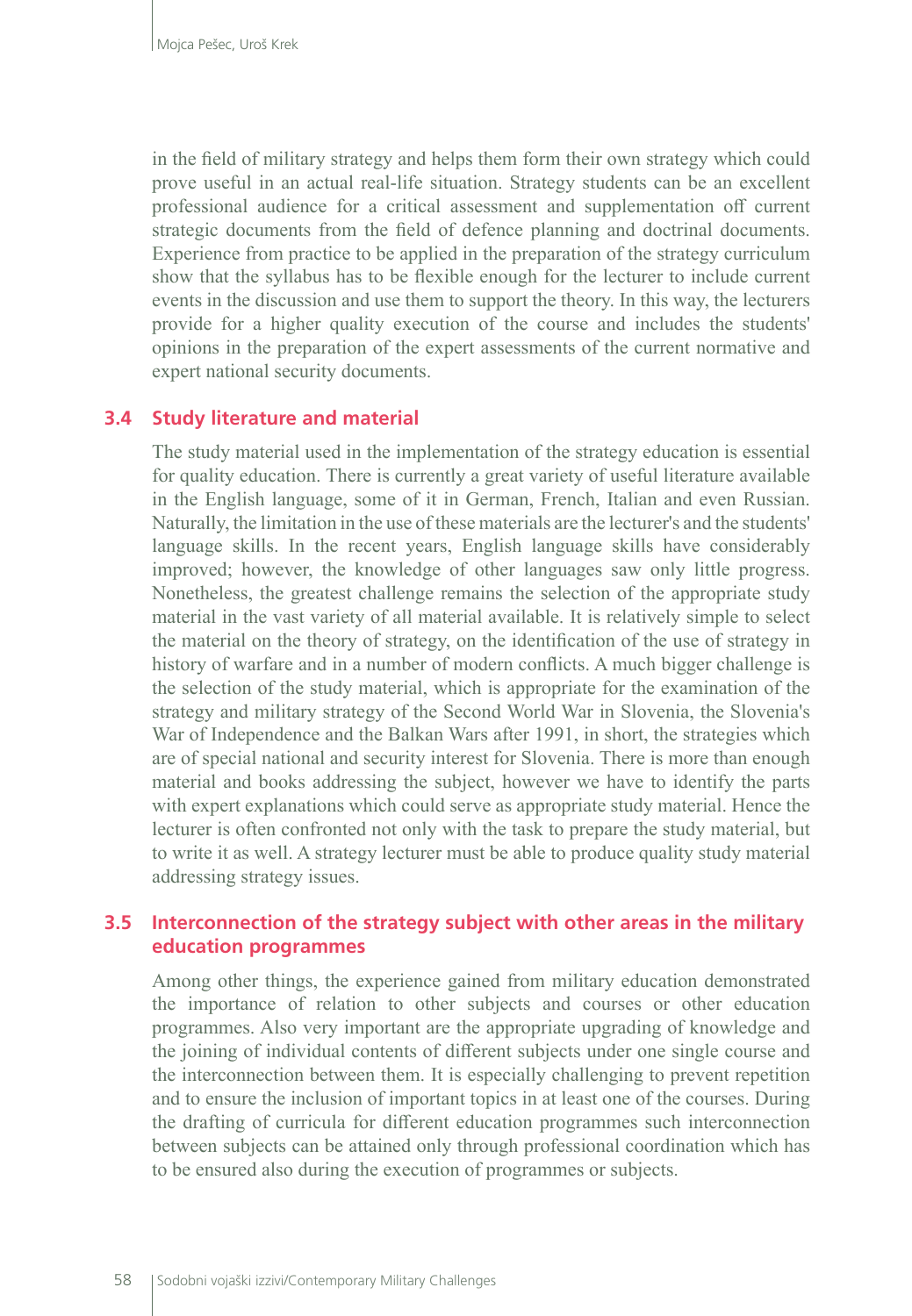in the field of military strategy and helps them form their own strategy which could prove useful in an actual real-life situation. Strategy students can be an excellent professional audience for a critical assessment and supplementation off current strategic documents from the field of defence planning and doctrinal documents. Experience from practice to be applied in the preparation of the strategy curriculum show that the syllabus has to be flexible enough for the lecturer to include current events in the discussion and use them to support the theory. In this way, the lecturers provide for a higher quality execution of the course and includes the students' opinions in the preparation of the expert assessments of the current normative and expert national security documents.

#### **3.4 Study literature and material**

The study material used in the implementation of the strategy education is essential for quality education. There is currently a great variety of useful literature available in the English language, some of it in German, French, Italian and even Russian. Naturally, the limitation in the use of these materials are the lecturer's and the students' language skills. In the recent years, English language skills have considerably improved; however, the knowledge of other languages saw only little progress. Nonetheless, the greatest challenge remains the selection of the appropriate study material in the vast variety of all material available. It is relatively simple to select the material on the theory of strategy, on the identification of the use of strategy in history of warfare and in a number of modern conflicts. A much bigger challenge is the selection of the study material, which is appropriate for the examination of the strategy and military strategy of the Second World War in Slovenia, the Slovenia's War of Independence and the Balkan Wars after 1991, in short, the strategies which are of special national and security interest for Slovenia. There is more than enough material and books addressing the subject, however we have to identify the parts with expert explanations which could serve as appropriate study material. Hence the lecturer is often confronted not only with the task to prepare the study material, but to write it as well. A strategy lecturer must be able to produce quality study material addressing strategy issues.

#### **3.5 Interconnection of the strategy subject with other areas in the military education programmes**

Among other things, the experience gained from military education demonstrated the importance of relation to other subjects and courses or other education programmes. Also very important are the appropriate upgrading of knowledge and the joining of individual contents of different subjects under one single course and the interconnection between them. It is especially challenging to prevent repetition and to ensure the inclusion of important topics in at least one of the courses. During the drafting of curricula for different education programmes such interconnection between subjects can be attained only through professional coordination which has to be ensured also during the execution of programmes or subjects.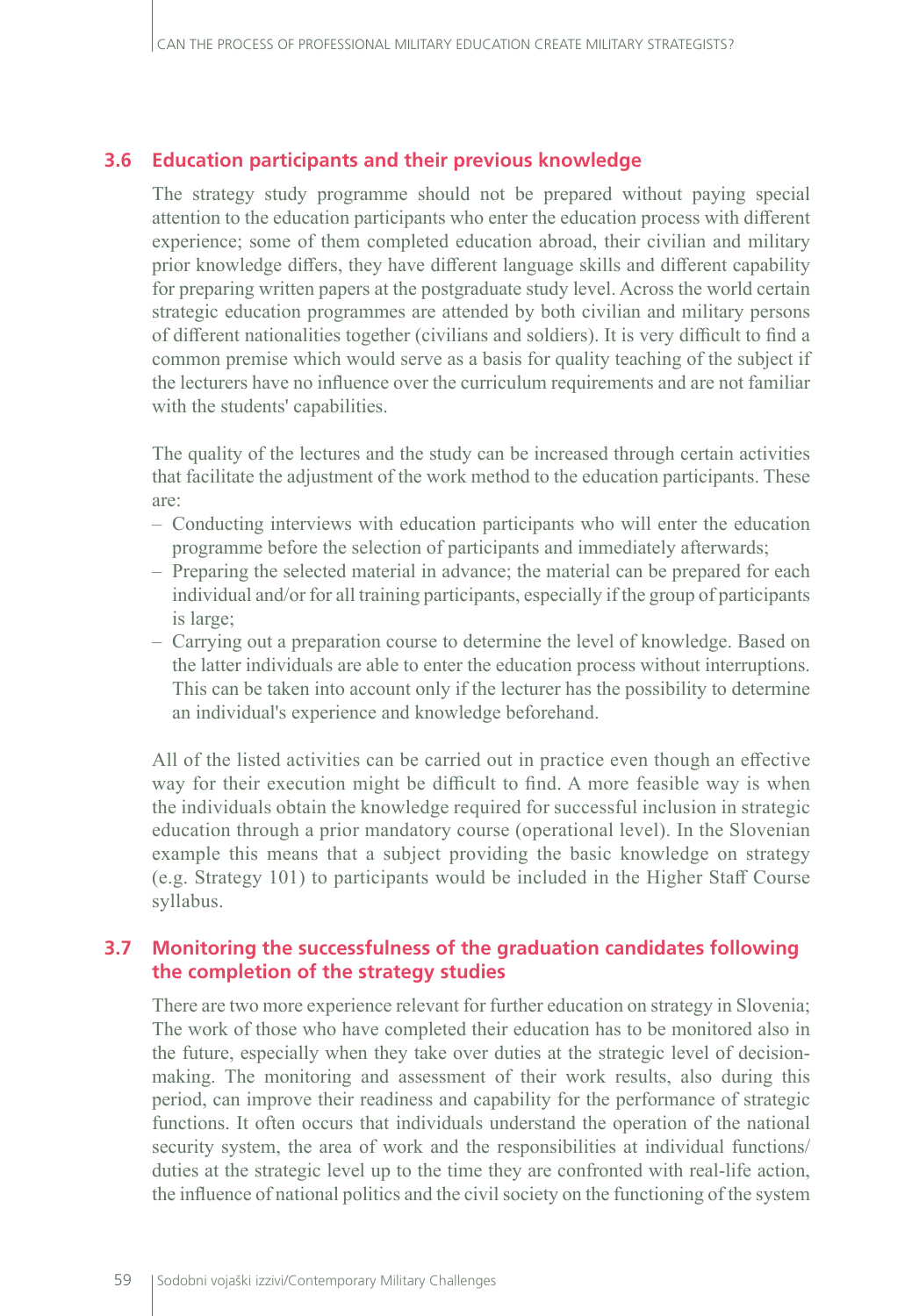#### **3.6 Education participants and their previous knowledge**

The strategy study programme should not be prepared without paying special attention to the education participants who enter the education process with different experience; some of them completed education abroad, their civilian and military prior knowledge differs, they have different language skills and different capability for preparing written papers at the postgraduate study level. Across the world certain strategic education programmes are attended by both civilian and military persons of different nationalities together (civilians and soldiers). It is very difficult to find a common premise which would serve as a basis for quality teaching of the subject if the lecturers have no influence over the curriculum requirements and are not familiar with the students' capabilities.

The quality of the lectures and the study can be increased through certain activities that facilitate the adjustment of the work method to the education participants. These are:

- Conducting interviews with education participants who will enter the education programme before the selection of participants and immediately afterwards;
- Preparing the selected material in advance; the material can be prepared for each individual and/or for all training participants, especially if the group of participants is large;
- Carrying out a preparation course to determine the level of knowledge. Based on the latter individuals are able to enter the education process without interruptions. This can be taken into account only if the lecturer has the possibility to determine an individual's experience and knowledge beforehand.

All of the listed activities can be carried out in practice even though an effective way for their execution might be difficult to find. A more feasible way is when the individuals obtain the knowledge required for successful inclusion in strategic education through a prior mandatory course (operational level). In the Slovenian example this means that a subject providing the basic knowledge on strategy (e.g. Strategy 101) to participants would be included in the Higher Staff Course syllabus.

#### **3.7 Monitoring the successfulness of the graduation candidates following the completion of the strategy studies**

There are two more experience relevant for further education on strategy in Slovenia; The work of those who have completed their education has to be monitored also in the future, especially when they take over duties at the strategic level of decisionmaking. The monitoring and assessment of their work results, also during this period, can improve their readiness and capability for the performance of strategic functions. It often occurs that individuals understand the operation of the national security system, the area of work and the responsibilities at individual functions/ duties at the strategic level up to the time they are confronted with real-life action, the influence of national politics and the civil society on the functioning of the system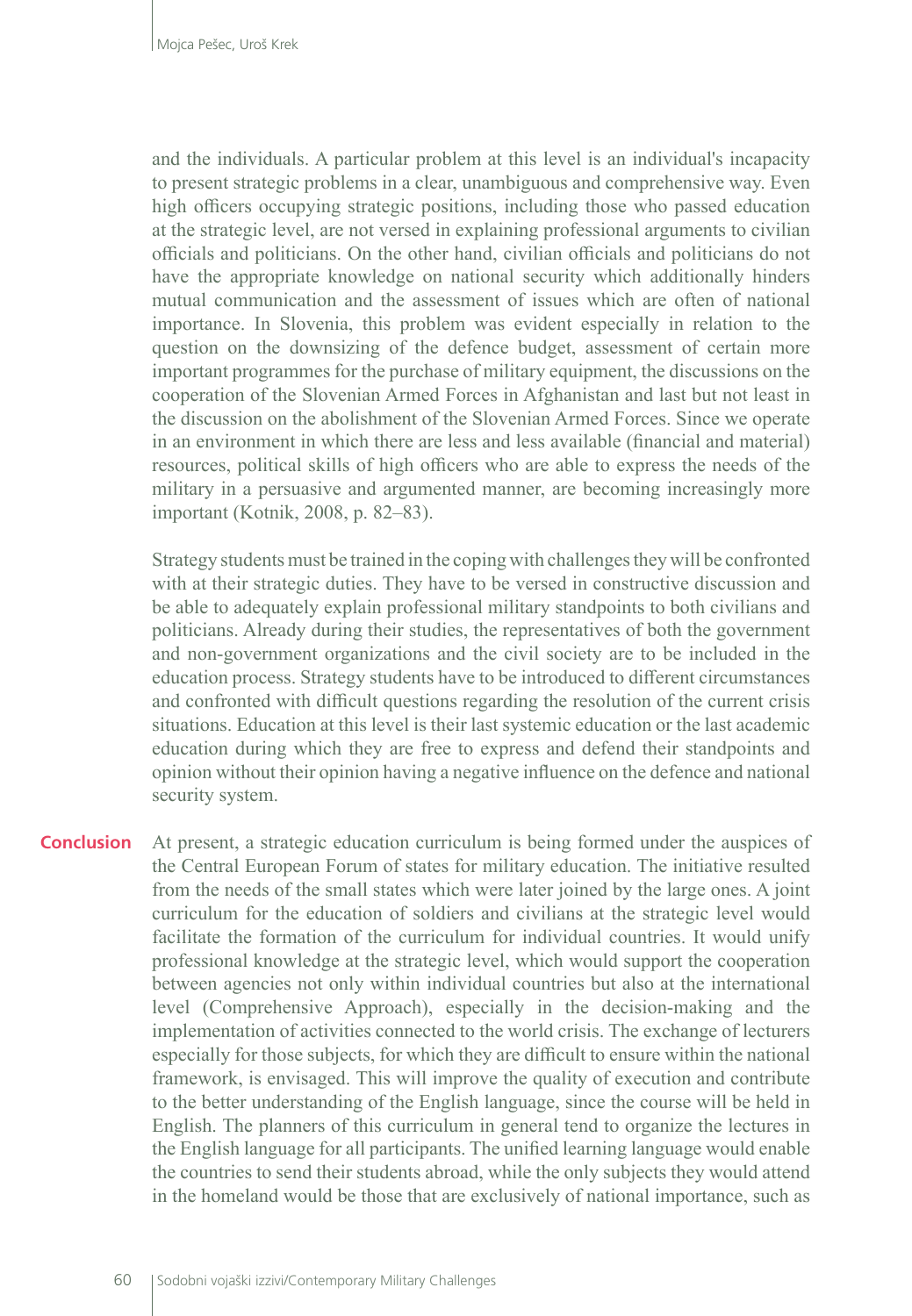and the individuals. A particular problem at this level is an individual's incapacity to present strategic problems in a clear, unambiguous and comprehensive way. Even high officers occupying strategic positions, including those who passed education at the strategic level, are not versed in explaining professional arguments to civilian officials and politicians. On the other hand, civilian officials and politicians do not have the appropriate knowledge on national security which additionally hinders mutual communication and the assessment of issues which are often of national importance. In Slovenia, this problem was evident especially in relation to the question on the downsizing of the defence budget, assessment of certain more important programmes for the purchase of military equipment, the discussions on the cooperation of the Slovenian Armed Forces in Afghanistan and last but not least in the discussion on the abolishment of the Slovenian Armed Forces. Since we operate in an environment in which there are less and less available (financial and material) resources, political skills of high officers who are able to express the needs of the military in a persuasive and argumented manner, are becoming increasingly more important (Kotnik, 2008, p. 82–83).

Strategy students must be trained in the coping with challenges they will be confronted with at their strategic duties. They have to be versed in constructive discussion and be able to adequately explain professional military standpoints to both civilians and politicians. Already during their studies, the representatives of both the government and non-government organizations and the civil society are to be included in the education process. Strategy students have to be introduced to different circumstances and confronted with difficult questions regarding the resolution of the current crisis situations. Education at this level is their last systemic education or the last academic education during which they are free to express and defend their standpoints and opinion without their opinion having a negative influence on the defence and national security system.

At present, a strategic education curriculum is being formed under the auspices of the Central European Forum of states for military education. The initiative resulted from the needs of the small states which were later joined by the large ones. A joint curriculum for the education of soldiers and civilians at the strategic level would facilitate the formation of the curriculum for individual countries. It would unify professional knowledge at the strategic level, which would support the cooperation between agencies not only within individual countries but also at the international level (Comprehensive Approach), especially in the decision-making and the implementation of activities connected to the world crisis. The exchange of lecturers especially for those subjects, for which they are difficult to ensure within the national framework, is envisaged. This will improve the quality of execution and contribute to the better understanding of the English language, since the course will be held in English. The planners of this curriculum in general tend to organize the lectures in the English language for all participants. The unified learning language would enable the countries to send their students abroad, while the only subjects they would attend in the homeland would be those that are exclusively of national importance, such as **Conclusion**